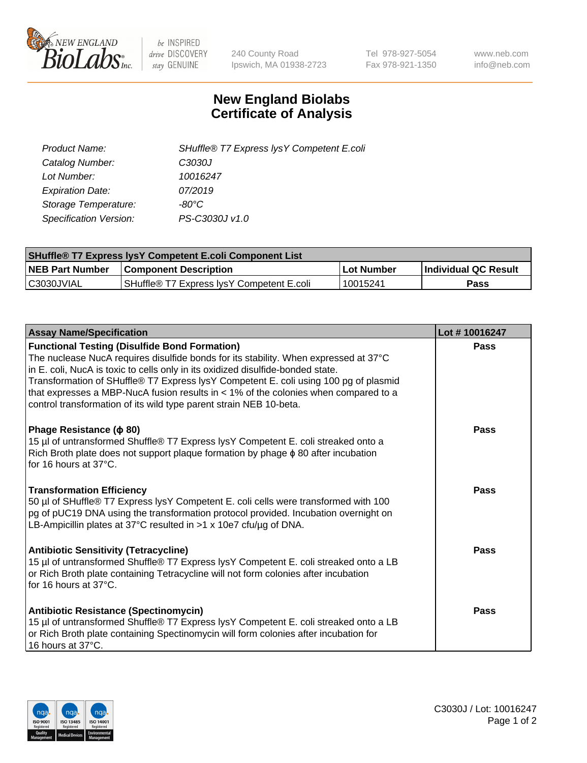

 $be$  INSPIRED drive DISCOVERY stay GENUINE

240 County Road Ipswich, MA 01938-2723 Tel 978-927-5054 Fax 978-921-1350 www.neb.com info@neb.com

## **New England Biolabs Certificate of Analysis**

| SHuffle® T7 Express lysY Competent E.coli |
|-------------------------------------------|
| C3030J                                    |
| 10016247                                  |
| 07/2019                                   |
| -80°C                                     |
| PS-C3030J v1.0                            |
|                                           |

| <b>SHuffle<sup>®</sup> T7 Express lysY Competent E.coli Component List</b> |                                           |            |                      |  |
|----------------------------------------------------------------------------|-------------------------------------------|------------|----------------------|--|
| <b>NEB Part Number</b>                                                     | <b>Component Description</b>              | Lot Number | Individual QC Result |  |
| C3030JVIAL                                                                 | SHuffle® T7 Express IvsY Competent E.coli | 10015241   | Pass                 |  |

| <b>Assay Name/Specification</b>                                                                                                                                                                                                                                                                                                                                                                                                                                                        | Lot #10016247 |
|----------------------------------------------------------------------------------------------------------------------------------------------------------------------------------------------------------------------------------------------------------------------------------------------------------------------------------------------------------------------------------------------------------------------------------------------------------------------------------------|---------------|
| <b>Functional Testing (Disulfide Bond Formation)</b><br>The nuclease NucA requires disulfide bonds for its stability. When expressed at 37°C<br>in E. coli, NucA is toxic to cells only in its oxidized disulfide-bonded state.<br>Transformation of SHuffle® T7 Express lysY Competent E. coli using 100 pg of plasmid<br>that expresses a MBP-NucA fusion results in $<$ 1% of the colonies when compared to a<br>control transformation of its wild type parent strain NEB 10-beta. | Pass          |
| Phage Resistance ( $\phi$ 80)<br>15 µl of untransformed Shuffle® T7 Express lysY Competent E. coli streaked onto a<br>Rich Broth plate does not support plaque formation by phage $\phi$ 80 after incubation<br>for 16 hours at $37^{\circ}$ C.                                                                                                                                                                                                                                        | Pass          |
| <b>Transformation Efficiency</b><br>50 µl of SHuffle® T7 Express lysY Competent E. coli cells were transformed with 100<br>pg of pUC19 DNA using the transformation protocol provided. Incubation overnight on<br>LB-Ampicillin plates at 37°C resulted in >1 x 10e7 cfu/µg of DNA.                                                                                                                                                                                                    | Pass          |
| <b>Antibiotic Sensitivity (Tetracycline)</b><br>15 µl of untransformed Shuffle® T7 Express lysY Competent E. coli streaked onto a LB<br>or Rich Broth plate containing Tetracycline will not form colonies after incubation<br>for 16 hours at 37°C.                                                                                                                                                                                                                                   | Pass          |
| <b>Antibiotic Resistance (Spectinomycin)</b><br>15 µl of untransformed Shuffle® T7 Express lysY Competent E. coli streaked onto a LB<br>or Rich Broth plate containing Spectinomycin will form colonies after incubation for<br>16 hours at 37°C.                                                                                                                                                                                                                                      | Pass          |